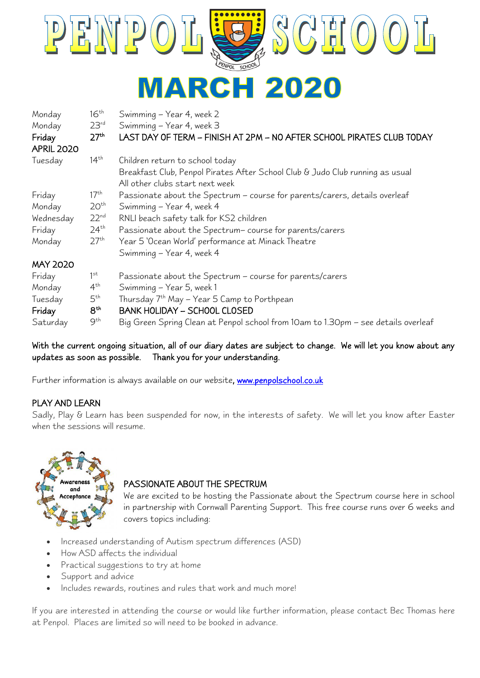

| Monday<br>Monday<br>Friday<br><b>APRIL 2020</b>                                  | $16^{\text{th}}$<br>$23^{rd}$<br>27 <sup>th</sup> | Swimming - Year 4, week 2<br>Swimming - Year 4, week 3<br>LAST DAY OF TERM - FINISH AT 2PM - NO AFTER SCHOOL PIRATES CLUB TODAY |  |
|----------------------------------------------------------------------------------|---------------------------------------------------|---------------------------------------------------------------------------------------------------------------------------------|--|
| Tuesday                                                                          | $14^{\text{th}}$                                  | Children return to school today                                                                                                 |  |
|                                                                                  |                                                   | Breakfast Club, Penpol Pirates After School Club & Judo Club running as usual<br>All other clubs start next week                |  |
| Friday                                                                           | 17 <sup>th</sup>                                  | Passionate about the Spectrum - course for parents/carers, details overleaf                                                     |  |
| Monday                                                                           | 20 <sup>th</sup>                                  | Swimming - Year 4, week 4                                                                                                       |  |
| Wednesday                                                                        | $22^{nd}$                                         | RNLI beach safety talk for KS2 children                                                                                         |  |
| Friday                                                                           | $24^{\text{th}}$                                  | Passionate about the Spectrum-course for parents/carers                                                                         |  |
| 27 <sup>th</sup><br>Year 5 'Ocean World' performance at Minack Theatre<br>Monday |                                                   |                                                                                                                                 |  |
|                                                                                  |                                                   | Swimming – Year 4, week 4                                                                                                       |  |
| <b>MAY 2020</b>                                                                  |                                                   |                                                                                                                                 |  |
| Friday                                                                           | 1 <sup>st</sup>                                   | Passionate about the Spectrum – course for parents/carers                                                                       |  |
| Monday                                                                           | $4^{th}$                                          | Swimming - Year 5, week 1                                                                                                       |  |
| Tuesday                                                                          | 5 <sup>th</sup>                                   | Thursday 7 <sup>th</sup> May - Year 5 Camp to Porthpean                                                                         |  |
| Friday                                                                           | 8 <sup>th</sup>                                   | <b>BANK HOLIDAY - SCHOOL CLOSED</b>                                                                                             |  |
| Saturday                                                                         | $9^{\text{th}}$                                   | Big Green Spring Clean at Penpol school from 10am to 1.30pm - see details overleaf                                              |  |

### With the current ongoing situation, all of our diary dates are subject to change. We will let you know about any updates as soon as possible. Thank you for your understanding.

Further information is always available on our website, www.penpolschool.co.uk

## PLAY AND LEARN

Sadly, Play & Learn has been suspended for now, in the interests of safety. We will let you know after Easter when the sessions will resume.



#### PASSIONATE ABOUT THE SPECTRUM

We are excited to be hosting the Passionate about the Spectrum course here in school in partnership with Cornwall Parenting Support. This free course runs over 6 weeks and covers topics including:

- Increased understanding of Autism spectrum differences (ASD)
- How ASD affects the individual
- Practical suggestions to try at home
- Support and advice
- Includes rewards, routines and rules that work and much more!

If you are interested in attending the course or would like further information, please contact Bec Thomas here at Penpol. Places are limited so will need to be booked in advance.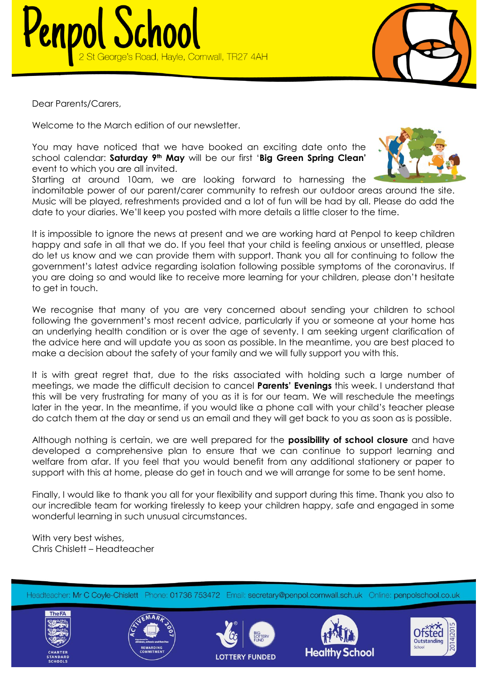



Dear Parents/Carers,

Welcome to the March edition of our newsletter.

You may have noticed that we have booked an exciting date onto the school calendar: **Saturday 9th May** will be our first '**Big Green Spring Clean'** event to which you are all invited.

Starting at around 10am, we are looking forward to harnessing the

indomitable power of our parent/carer community to refresh our outdoor areas around the site. Music will be played, refreshments provided and a lot of fun will be had by all. Please do add the date to your diaries. We'll keep you posted with more details a little closer to the time.

It is impossible to ignore the news at present and we are working hard at Penpol to keep children happy and safe in all that we do. If you feel that your child is feeling anxious or unsettled, please do let us know and we can provide them with support. Thank you all for continuing to follow the government's latest advice regarding isolation following possible symptoms of the coronavirus. If you are doing so and would like to receive more learning for your children, please don't hesitate to get in touch.

We recognise that many of you are very concerned about sending your children to school following the government's most recent advice, particularly if you or someone at your home has an underlying health condition or is over the age of seventy. I am seeking urgent clarification of the advice here and will update you as soon as possible. In the meantime, you are best placed to make a decision about the safety of your family and we will fully support you with this.

It is with great regret that, due to the risks associated with holding such a large number of meetings, we made the difficult decision to cancel **Parents' Evenings** this week. I understand that this will be very frustrating for many of you as it is for our team. We will reschedule the meetings later in the year. In the meantime, if you would like a phone call with your child's teacher please do catch them at the day or send us an email and they will get back to you as soon as is possible.

Although nothing is certain, we are well prepared for the **possibility of school closure** and have developed a comprehensive plan to ensure that we can continue to support learning and welfare from afar. If you feel that you would benefit from any additional stationery or paper to support with this at home, please do get in touch and we will arrange for some to be sent home.

Finally, I would like to thank you all for your flexibility and support during this time. Thank you also to our incredible team for working tirelessly to keep your children happy, safe and engaged in some wonderful learning in such unusual circumstances.

With very best wishes, Chris Chislett – Headteacher

Headteacher: Mr C Coyle-Chislett Phone: 01736 753472 Email: secretary@penpol.cornwall.sch.uk Online: penpolschool.co.uk











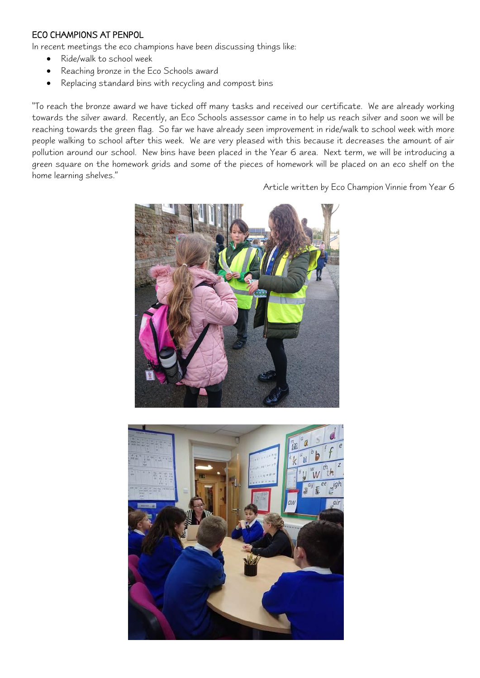#### ECO CHAMPIONS AT PENPOL

In recent meetings the eco champions have been discussing things like:

- Ride/walk to school week
- Reaching bronze in the Eco Schools award
- Replacing standard bins with recycling and compost bins

"To reach the bronze award we have ticked off many tasks and received our certificate. We are already working towards the silver award. Recently, an Eco Schools assessor came in to help us reach silver and soon we will be reaching towards the green flag. So far we have already seen improvement in ride/walk to school week with more people walking to school after this week. We are very pleased with this because it decreases the amount of air pollution around our school. New bins have been placed in the Year 6 area. Next term, we will be introducing a green square on the homework grids and some of the pieces of homework will be placed on an eco shelf on the home learning shelves."

Article written by Eco Champion Vinnie from Year 6